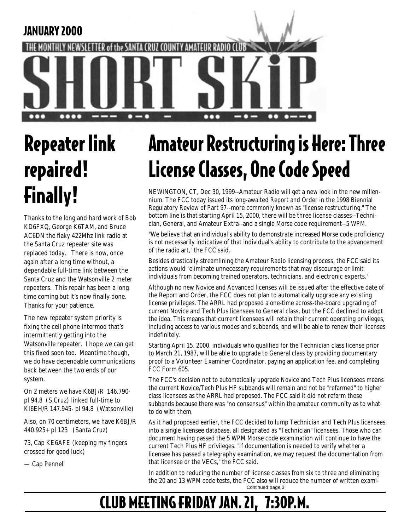

# Repeater link repaired! Finally!

Thanks to the long and hard work of Bob KD6FXQ, George K6TAM, and Bruce AC6DN the flaky 422Mhz link radio at the Santa Cruz repeater site was replaced today. There is now, once again after a long time without, a dependable full-time link between the Santa Cruz and the Watsonville 2 meter repeaters. This repair has been a long time coming but it's now finally done. Thanks for your patience.

The new repeater system priority is fixing the cell phone intermod that's intermittently getting into the Watsonville repeater. I hope we can get this fixed soon too. Meantime though, we do have dependable communications back between the two ends of our system.

On 2 meters we have K6BJ/R 146.790 pl 94.8 (S.Cruz) linked full-time to KI6EH/R 147.945- pl 94.8 (Watsonville)

Also, on 70 centimeters, we have K6BJ/R 440.925+ pl 123 (Santa Cruz)

73, Cap KE6AFE (keeping my fingers crossed for good luck)

— Cap Pennell

# Amateur Restructuring is Here: Three License Classes, One Code Speed

NEWINGTON, CT, Dec 30, 1999--Amateur Radio will get a new look in the new millennium. The FCC today issued its long-awaited Report and Order in the 1998 Biennial Regulatory Review of Part 97--more commonly known as "license restructuring." The bottom line is that starting April 15, 2000, there will be three license classes--Technician, General, and Amateur Extra--and a single Morse code requirement--5 WPM.

"We believe that an individual's ability to demonstrate increased Morse code proficiency is not necessarily indicative of that individual's ability to contribute to the advancement of the radio art," the FCC said.

Besides drastically streamlining the Amateur Radio licensing process, the FCC said its actions would "eliminate unnecessary requirements that may discourage or limit individuals from becoming trained operators, technicians, and electronic experts."

Although no new Novice and Advanced licenses will be issued after the effective date of the Report and Order, the FCC does not plan to automatically upgrade any existing license privileges. The ARRL had proposed a one-time across-the-board upgrading of current Novice and Tech Plus licensees to General class, but the FCC declined to adopt the idea. This means that current licensees will retain their current operating privileges, including access to various modes and subbands, and will be able to renew their licenses indefinitely.

Starting April 15, 2000, individuals who qualified for the Technician class license prior to March 21, 1987, will be able to upgrade to General class by providing documentary proof to a Volunteer Examiner Coordinator, paying an application fee, and completing FCC Form 605.

The FCC's decision not to automatically upgrade Novice and Tech Plus licensees means the current Novice/Tech Plus HF subbands will remain and not be "refarmed" to higher class licensees as the ARRL had proposed. The FCC said it did not refarm these subbands because there was "no consensus" within the amateur community as to what to do with them.

As it had proposed earlier, the FCC decided to lump Technician and Tech Plus licensees into a single licensee database, all designated as "Technician" licensees. Those who can document having passed the 5 WPM Morse code examination will continue to have the current Tech Plus HF privileges. "If documentation is needed to verify whether a licensee has passed a telegraphy examination, we may request the documentation from that licensee or the VECs," the FCC said.

In addition to reducing the number of license classes from six to three and eliminating the 20 and 13 WPM code tests, the FCC also will reduce the number of written exami-Continued page 3

### CLUB MEETING FRIDAY JAN. 21, 7:30P.M.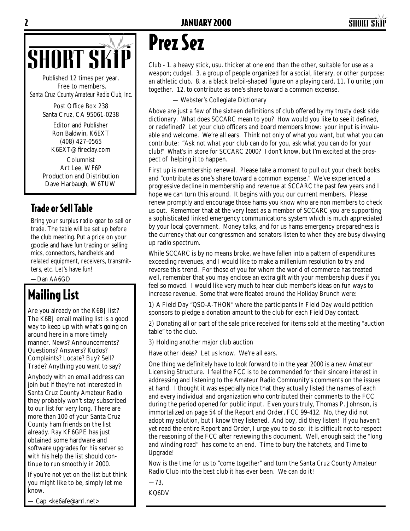



Published 12 times per year. Free to members. *Santa Cruz County Amateur Radio Club, Inc.*

> Post Office Box 238 Santa Cruz, CA 95061-0238

> > Editor and Publisher Ron Baldwin, K6EXT (408) 427-0565 K6EXT@fireclay.com

Columnist Art Lee, WF6P Production and Distribution Dave Harbaugh, W6TUW

### Trade or Sell Table

Bring your surplus radio gear to sell or trade. The table will be set up before the club meeting. Put a price on your goodie and have fun trading or selling: mics, connectors, handhelds and related equipment, receivers, transmitters, etc. Let's have fun!

—Dan AA6GD

### Mailing List

Are you already on the K6BJ list? The K6BJ email mailing list is a good way to keep up with what's going on around here in a more timely manner. News? Announcements? Questions? Answers? Kudos? Complaints? Locate? Buy? Sell? Trade? Anything you want to say?

Anybody with an email address can join but if they're not interested in Santa Cruz County Amateur Radio they probably won't stay subscribed to our list for very long. There are more than 100 of your Santa Cruz County ham friends on the list already. Ray KF6GPE has just obtained some hardware and software upgrades for his server so with his help the list should continue to run smoothly in 2000.

If you're not yet on the list but think you might like to be, simply let me know.

Cap <ke6afe@arrl.net>

## Prez Sez

Club - 1. a heavy stick, usu. thicker at one end than the other, suitable for use as a weapon; cudgel. 3. a group of people organized for a social, literary, or other purpose: an athletic club. 8. a. a black trefoil-shaped figure on a playing card. 11. To unite; join together. 12. to contribute as one's share toward a common expense.

— Webster's Collegiate Dictionary

Above are just a few of the sixteen definitions of club offered by my trusty desk side dictionary. What does SCCARC mean to you? How would you like to see it defined, or redefined? Let your club officers and board members know: your input is invaluable and welcome. We're all ears. Think not only of what you want, but what you can contribute: "Ask not what your club can do for you, ask what you can do for your club!" What's in store for SCCARC 2000? I don't know, but I'm excited at the prospect of helping it to happen.

First up is membership renewal. Please take a moment to pull out your check books and "contribute as one's share toward a common expense." We've experienced a progressive decline in membership and revenue at SCCARC the past few years and I hope we can turn this around. It begins with you; our current members. Please renew promptly and encourage those hams you know who are non members to check us out. Remember that at the very least as a member of SCCARC you are supporting a sophisticated linked emergency communications system which is much appreciated by your local government. Money talks, and for us hams emergency preparedness is the currency that our congressmen and senators listen to when they are busy divvying up radio spectrum.

While SCCARC is by no means broke, we have fallen into a pattern of expenditures exceeding revenues, and I would like to make a millenium resolution to try and reverse this trend. For those of you for whom the world of commerce has treated well, remember that you may enclose an extra gift with your membership dues if you feel so moved. I would like very much to hear club member's ideas on fun ways to increase revenue. Some that were floated around the Holiday Brunch were:

1) A Field Day "QSO-A-THON" where the participants in Field Day would petition sponsors to pledge a donation amount to the club for each Field Day contact.

2) Donating all or part of the sale price received for items sold at the meeting "auction table" to the club.

3) Holding another major club auction

Have other ideas? Let us know. We're all ears.

One thing we definitely have to look forward to in the year 2000 is a new Amateur Licensing Structure. I feel the FCC is to be commended for their sincere interest in addressing and listening to the Amateur Radio Community's comments on the issues at hand. I thought it was especially nice that they actually listed the names of each and every individual and organization who contributed their comments to the FCC during the period opened for public input. Even yours truly, Thomas P. Johnson, is immortalized on page 54 of the Report and Order, FCC 99-412. No, they did not adopt my solution, but I know they listened. And boy, did they listen! If you haven't yet read the entire Report and Order, I urge you to do so: it is difficult not to respect the reasoning of the FCC after reviewing this document. Well, enough said; the "long and winding road" has come to an end. Time to bury the hatchets, and Time to Upgrade!

Now is the time for us to "come together" and turn the Santa Cruz County Amateur Radio Club into the best club it has ever been. We can do it!

—73,

KQ6DV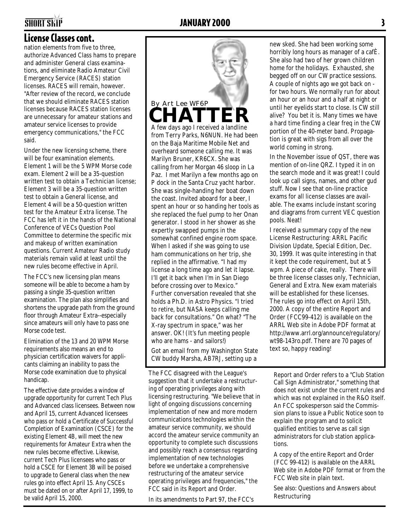#### License Classes cont.

nation elements from five to three, authorize Advanced Class hams to prepare and administer General class examinations, and eliminate Radio Amateur Civil Emergency Service (RACES) station licenses. RACES will remain, however. "After review of the record, we conclude that we should eliminate RACES station licenses because RACES station licenses are unnecessary for amateur stations and amateur service licenses to provide emergency communications," the FCC said.

Under the new licensing scheme, there will be four examination elements. Element 1 will be the 5 WPM Morse code exam. Element 2 will be a 35-question written test to obtain a Technician license; Element 3 will be a 35-question written test to obtain a General license, and Element 4 will be a 50-question written test for the Amateur Extra license. The FCC has left it in the hands of the National Conference of VECs Question Pool Committee to determine the specific mix and makeup of written examination questions. Current Amateur Radio study materials remain valid at least until the new rules become effective in April.

The FCC's new licensing plan means someone will be able to become a ham by passing a single 35-question written examination. The plan also simplifies and shortens the upgrade path from the ground floor through Amateur Extra--especially since amateurs will only have to pass one Morse code test.

Elimination of the 13 and 20 WPM Morse requirements also means an end to physician certification waivers for applicants claiming an inability to pass the Morse code examination due to physical handicap.

The effective date provides a window of upgrade opportunity for current Tech Plus and Advanced class licensees. Between now and April 15, current Advanced licensees who pass or hold a Certificate of Successful Completion of Examination (CSCE) for the existing Element 4B, will meet the new requirements for Amateur Extra when the new rules become effective. Likewise, current Tech Plus licensees who pass or hold a CSCE for Element 3B will be poised to upgrade to General class when the new rules go into effect April 15. Any CSCEs must be dated on or after April 17, 1999, to be valid April 15, 2000.



from Terry Parks, N6NUN. He had been on the Baja Maritime Mobile Net and overheard someone calling me. It was Marilyn Bruner, KR6CX. She was calling from her Morgan 46 sloop in La Paz. I met Marilyn a few months ago on P dock in the Santa Cruz yacht harbor. She was single-handing her boat down the coast. Invited aboard for a beer, I spent an hour or so handing her tools as she replaced the fuel pump to her Onan generator. I stood in her shower as she expertly swapped pumps in the somewhat confined engine room space. When I asked if she was going to use ham communications on her trip, she replied in the affirmative. "I had my license a long time ago and let it lapse. I'll get it back when I'm in San Diego before crossing over to Mexico." Further conversation revealed that she holds a Ph.D. in Astro Physics. "I tried to retire, but NASA keeps calling me back for consultations." On what? "The X-ray spectrum in space," was her answer. OK! (It's fun meeting people who are hams - and sailors!) Got an email from my Washington State

CW buddy Marsha, AB7RJ, setting up a

The FCC disagreed with the League's suggestion that it undertake a restructuring of operating privileges along with licensing restructuring. "We believe that in light of ongoing discussions concerning implementation of new and more modern communications technologies within the amateur service community, we should accord the amateur service community an opportunity to complete such discussions and possibly reach a consensus regarding implementation of new technologies before we undertake a comprehensive restructuring of the amateur service operating privileges and frequencies," the FCC said in its Report and Order.

In its amendments to Part 97, the FCC's

new sked. She had been working some horribly long hours as manager of a cafÈ. She also had two of her grown children home for the holidays. Exhausted, she begged off on our CW practice sessions. A couple of nights ago we got back on for two hours. We normally run for about an hour or an hour and a half at night or until her eyelids start to close. Is CW still alive? You bet it is. Many times we have a hard time finding a clear freq in the CW portion of the 40-meter band. Propagation is great with sigs from all over the world coming in strong.

In the November issue of QST, there was mention of on-line QRZ. I typed it in on the search mode and it was great! I could look up call signs, names, and other gud stuff. Now I see that on-line practice exams for all license classes are available. The exams include instant scoring and diagrams from current VEC question pools. Neat!

I received a summary copy of the new License Restructuring: ARRL Pacific Division Update, Special Edition, Dec. 30, 1999. It was quite interesting in that it kept the code requirement, but at 5 wpm. A piece of cake, really. There will be three license classes only, Technician, General and Extra. New exam materials will be established for these licenses. The rules go into effect on April 15th, 2000. A copy of the entire Report and Order (FCC99-412) is available on the ARRL Web site in Adobe PDF format at http://www.arrl.org/announce/regulatory/ wt98-143ro.pdf. There are 70 pages of text so, happy reading!

Report and Order refers to a "Club Station Call Sign Administrator," something that does not exist under the current rules and which was not explained in the R&O itself. An FCC spokesperson said the Commission plans to issue a Public Notice soon to explain the program and to solicit qualified entities to serve as call sign administrators for club station applications.

A copy of the entire Report and Order (FCC 99-412) is available on the ARRL Web site in Adobe PDF format or from the FCC Web site in plain text.

See also: Questions and Answers about Restructuring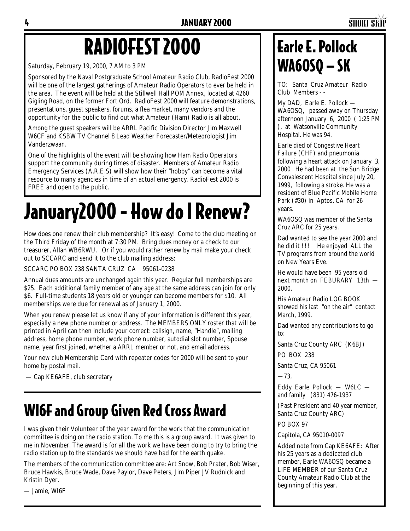# RADIOFEST 2000

Saturday, February 19, 2000, 7 AM to 3 PM

Sponsored by the Naval Postgraduate School Amateur Radio Club, RadioFest 2000 will be one of the largest gatherings of Amateur Radio Operators to ever be held in the area. The event will be held at the Stillwell Hall POM Annex, located at 4260 Gigling Road, on the former Fort Ord. RadioFest 2000 will feature demonstrations, presentations, guest speakers, forums, a flea market, many vendors and the opportunity for the public to find out what Amateur (Ham) Radio is all about.

Among the guest speakers will be ARRL Pacific Division Director Jim Maxwell W6CF and KSBW TV Channel 8 Lead Weather Forecaster/Meteorologist Jim Vanderzwaan.

One of the highlights of the event will be showing how Ham Radio Operators support the community during times of disaster. Members of Amateur Radio Emergency Services (A.R.E.S) will show how their "hobby" can become a vital resource to many agencies in time of an actual emergency. RadioFest 2000 is FREE and open to the public.

# January2000 - How do I Renew?

How does one renew their club membership? It's easy! Come to the club meeting on the Third Friday of the month at 7:30 PM. Bring dues money or a check to our treasurer, Allan WB6RWU. Or if you would rather renew by mail make your check out to SCCARC and send it to the club mailing address:

SCCARC PO BOX 238 SANTA CRUZ CA 95061-0238

Annual dues amounts are unchanged again this year. Regular full memberships are \$25. Each additional family member of any age at the same address can join for only \$6. Full-time students 18 years old or younger can become members for \$10. All memberships were due for renewal as of January 1, 2000.

When you renew please let us know if any of your information is different this year, especially a new phone number or address. The MEMBERS ONLY roster that will be printed in April can then include your correct: callsign, name, "Handle", mailing address, home phone number, work phone number, autodial slot number, Spouse name, year first joined, whether a ARRL member or not, and email address.

Your new club Membership Card with repeater codes for 2000 will be sent to your home by postal mail.

— Cap KE6AFE, club secretary

### WI6F and Group Given Red Cross Award

I was given their Volunteer of the year award for the work that the communication committee is doing on the radio station. To me this is a group award. It was given to me in November. The award is for all the work we have been doing to try to bring the radio station up to the standards we should have had for the earth quake.

The members of the communication committee are: Art Snow, Bob Prater, Bob Wiser, Bruce Hawkis, Bruce Wade, Dave Paylor, Dave Peters, Jim Piper JV Rudnick and Kristin Dyer.

— Jamie, WI6F

### Earle E. Pollock WA6OSQ — SK

TO: Santa Cruz Amateur Radio Club Members - -

My DAD, Earle E. Pollock — WA6OSQ, passed away on Thursday afternoon January 6, 2000 ( 1:25 PM ), at Watsonville Community Hospital. He was 94.

Earle died of Congestive Heart Failure (CHF) and pneumonia following a heart attack on January 3, 2000 . He had been at the Sun Bridge Convalescent Hospital since July 20, 1999, following a stroke. He was a resident of Blue Pacific Mobile Home Park (#30) in Aptos, CA for 26 years.

WA6OSQ was member of the Santa Cruz ARC for 25 years.

Dad wanted to see the year 2000 and he did it !!! He enjoyed ALL the TV programs from around the world on New Years Eve.

He would have been 95 years old next month on FEBURARY 13th — 2000.

His Amateur Radio LOG BOOK showed his last "on the air" contact March, 1999.

Dad wanted any contributions to go to:

Santa Cruz County ARC (K6BJ)

PO BOX 238

Santa Cruz, CA 95061

—73,

Eddy Earle Pollock — W6LC and family (831) 476-1937

(Past President and 40 year member, Santa Cruz County ARC)

PO BOX 97

Capitola, CA 95010-0097

Added note from Cap KE6AFE: After his 25 years as a dedicated club member, Earle WA6OSQ became a LIFE MEMBER of our Santa Cruz County Amateur Radio Club at the beginning of this year.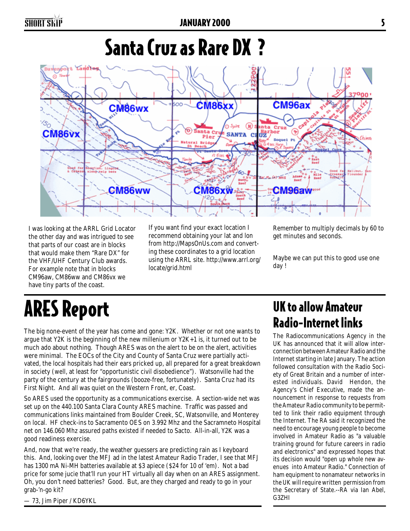## Santa Cruz as Rare DX ?



I was looking at the ARRL Grid Locator the other day and was intrigued to see that parts of our coast are in blocks that would make them "Rare DX" for the VHF/UHF Century Club awards. For example note that in blocks CM96aw, CM86ww and CM86vx we have tiny parts of the coast.

If you want find your exact location I recommend obtaining your lat and lon from http://MapsOnUs.com and converting these coordinates to a grid location using the ARRL site. http://www.arrl.org/ locate/grid.html

Remember to multiply decimals by 60 to get minutes and seconds.

Maybe we can put this to good use one day !

# ARES Report

The big none-event of the year has come and gone: Y2K. Whether or not one wants to argue that Y2K is the beginning of the new millenium or Y2K+1 is, it turned out to be much ado about nothing. Though ARES was on the alert to be on the alert, activities were minimal. The EOCs of the City and County of Santa Cruz were partially activated, the local hospitals had their ears pricked up, all prepared for a great breakdown in society (well, at least for "opportunistic civil disobedience"). Watsonville had the party of the century at the fairgrounds (booze-free, fortunately). Santa Cruz had its First Night. And all was quiet on the Western Front, er, Coast.

So ARES used the opportunity as a communications exercise. A section-wide net was set up on the 440.100 Santa Clara County ARES machine. Traffic was passed and communications links maintained from Boulder Creek, SC, Watsonville, and Monterey on local. HF check-ins to Sacramento OES on 3.992 Mhz and the Sacramneto Hospital net on 146.060 Mhz assured paths existed if needed to Sacto. All-in-all, Y2K was a good readiness exercise.

And, now that we're ready, the weather guessers are predicting rain as I keyboard this. And, looking over the MFJ ad in the latest Amateur Radio Trader, I see that MFJ has 1300 mA Ni-MH batteries available at \$3 apiece (\$24 for 10 of 'em). Not a bad price for some jucie that'll run your HT virtually all day when on an ARES assignment. Oh, you don't need batteries? Good. But, are they charged and ready to go in your grab-'n-go kit?

— 73, Jim Piper / KD6YKL

### UK to allow Amateur Radio-Internet links

The Radiocommunications Agency in the UK has announced that it will allow interconnection between Amateur Radio and the Internet starting in late January. The action followed consultation with the Radio Society of Great Britain and a number of interested individuals. David Hendon, the Agency's Chief Executive, made the announcement in response to requests from the Amateur Radio community to be permitted to link their radio equipment through the Internet. The RA said it recognized the need to encourage young people to become involved in Amateur Radio as "a valuable training ground for future careers in radio and electronics" and expressed hopes that its decision would "open up whole new avenues into Amateur Radio." Connection of ham equipment to nonamateur networks in the UK will require written permission from the Secretary of State.--RA via Ian Abel, G3ZHI